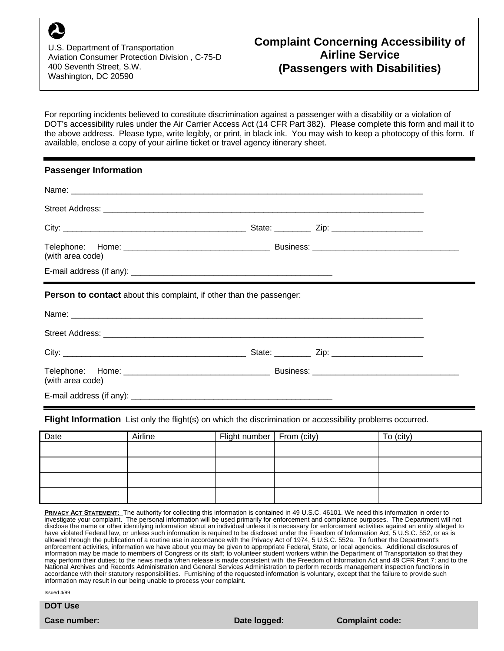U.S. Department of Transportation Aviation Consumer Protection Division , C-75-D 400 Seventh Street, S.W. Washington, DC 20590

For reporting incidents believed to constitute discrimination against a passenger with a disability or a violation of DOT's accessibility rules under the Air Carrier Access Act (14 CFR Part 382). Please complete this form and mail it to the above address. Please type, write legibly, or print, in black ink. You may wish to keep a photocopy of this form. If available, enclose a copy of your airline ticket or travel agency itinerary sheet.

## **Passenger Information**

| (with area code)                                                            |  |  |
|-----------------------------------------------------------------------------|--|--|
|                                                                             |  |  |
| <b>Person to contact</b> about this complaint, if other than the passenger: |  |  |
|                                                                             |  |  |
|                                                                             |  |  |
|                                                                             |  |  |
| (with area code)                                                            |  |  |
|                                                                             |  |  |

**Flight Information** List only the flight(s) on which the discrimination or accessibility problems occurred.

| Date | Airline | Flight number   From (city) | To (city) |
|------|---------|-----------------------------|-----------|
|      |         |                             |           |
|      |         |                             |           |
|      |         |                             |           |
|      |         |                             |           |

**PRIVACY ACT STATEMENT:** The authority for collecting this information is contained in 49 U.S.C. 46101. We need this information in order to investigate your complaint. The personal information will be used primarily for enforcement and compliance purposes. The Department will not disclose the name or other identifying information about an individual unless it is necessary for enforcement activities against an entity alleged to have violated Federal law, or unless such information is required to be disclosed under the Freedom of Information Act, 5 U.S.C. 552, or as is allowed through the publication of a routine use in accordance with the Privacy Act of 1974, 5 U.S.C. 552a. To further the Department's enforcement activities, information we have about you may be given to appropriate Federal, State, or local agencies. Additional disclosures of information may be made to members of Congress or its staff; to volunteer student workers within the Department of Transportation so that they may perform their duties; to the news media when release is made consistent with the Freedom of Information Act and 49 CFR Part 7; and to the National Archives and Records Administration and General Services Administration to perform records management inspection functions in accordance with their statutory responsibilities. Furnishing of the requested information is voluntary, except that the failure to provide such information may result in our being unable to process your complaint.

Issued 4/99

**DOT Use**

**Case number: Date logged: Complaint code:**